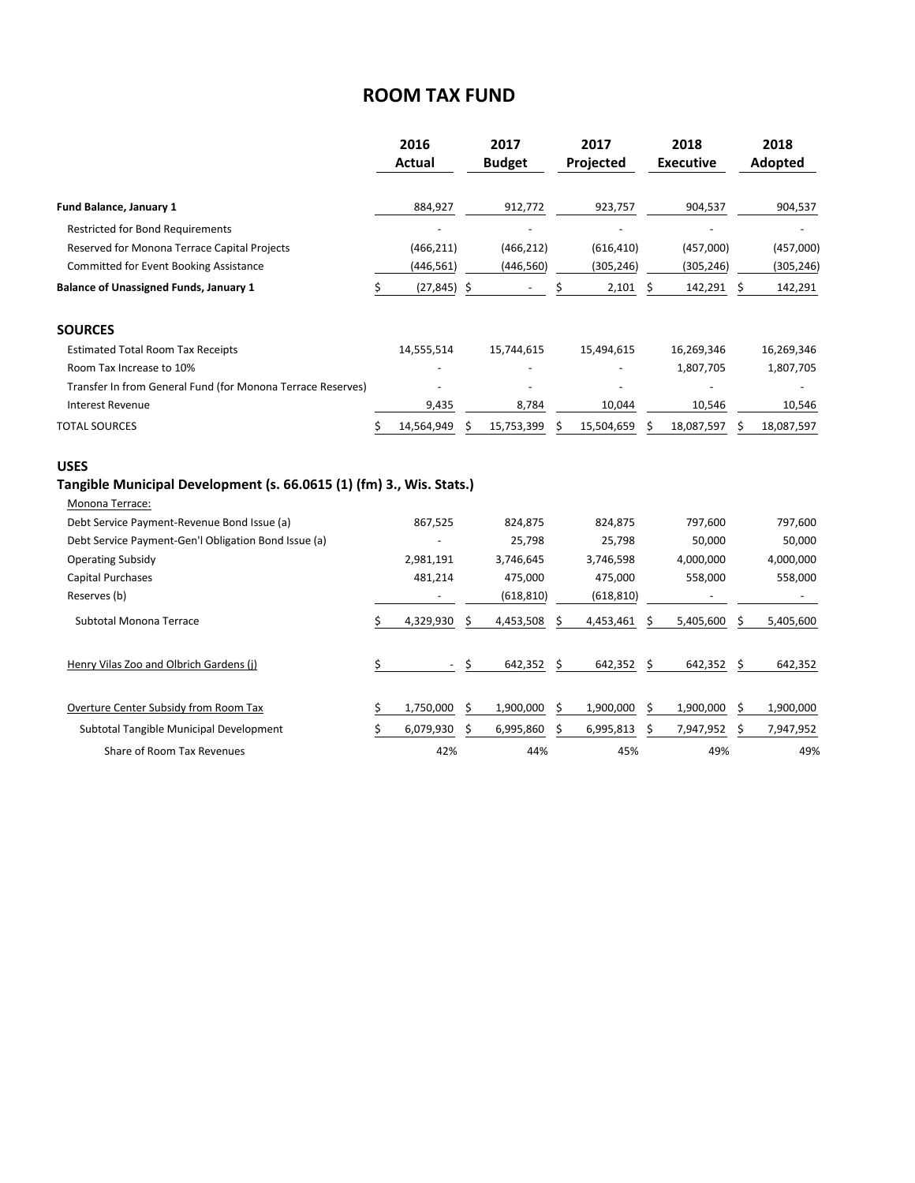## **ROOM TAX FUND**

|                                                                      | 2016 |               | 2017 |               | 2017 |            | 2018 |                  | 2018 |            |
|----------------------------------------------------------------------|------|---------------|------|---------------|------|------------|------|------------------|------|------------|
|                                                                      |      | <b>Actual</b> |      | <b>Budget</b> |      | Projected  |      | <b>Executive</b> |      | Adopted    |
| Fund Balance, January 1                                              |      | 884,927       |      | 912,772       |      | 923,757    |      | 904,537          |      | 904,537    |
| <b>Restricted for Bond Requirements</b>                              |      |               |      |               |      |            |      |                  |      |            |
| Reserved for Monona Terrace Capital Projects                         |      | (466, 211)    |      | (466, 212)    |      | (616, 410) |      | (457,000)        |      | (457,000)  |
| Committed for Event Booking Assistance                               |      | (446, 561)    |      | (446, 560)    |      | (305, 246) |      | (305, 246)       |      | (305, 246) |
| <b>Balance of Unassigned Funds, January 1</b>                        | \$   | (27, 845)     | \$   |               | Ś    | 2,101      | \$   | 142,291          | \$   | 142,291    |
| <b>SOURCES</b>                                                       |      |               |      |               |      |            |      |                  |      |            |
| <b>Estimated Total Room Tax Receipts</b>                             |      | 14,555,514    |      | 15,744,615    |      | 15,494,615 |      | 16,269,346       |      | 16,269,346 |
| Room Tax Increase to 10%                                             |      |               |      |               |      |            |      | 1,807,705        |      | 1,807,705  |
| Transfer In from General Fund (for Monona Terrace Reserves)          |      |               |      |               |      |            |      |                  |      |            |
| Interest Revenue                                                     |      | 9,435         |      | 8,784         |      | 10,044     |      | 10,546           |      | 10,546     |
| <b>TOTAL SOURCES</b>                                                 | Ś    | 14,564,949    | Ś    | 15,753,399    | Ś    | 15,504,659 | Ś    | 18,087,597       | Ś    | 18,087,597 |
| <b>USES</b>                                                          |      |               |      |               |      |            |      |                  |      |            |
| Tangible Municipal Development (s. 66.0615 (1) (fm) 3., Wis. Stats.) |      |               |      |               |      |            |      |                  |      |            |
| Monona Terrace:                                                      |      |               |      |               |      |            |      |                  |      |            |
| Debt Service Payment-Revenue Bond Issue (a)                          |      | 867,525       |      | 824,875       |      | 824,875    |      | 797,600          |      | 797,600    |
| Debt Service Payment-Gen'l Obligation Bond Issue (a)                 |      |               |      | 25,798        |      | 25,798     |      | 50,000           |      | 50,000     |
| <b>Operating Subsidy</b>                                             |      | 2,981,191     |      | 3,746,645     |      | 3,746,598  |      | 4,000,000        |      | 4,000,000  |
| <b>Capital Purchases</b>                                             |      | 481,214       |      | 475,000       |      | 475,000    |      | 558,000          |      | 558,000    |
| Reserves (b)                                                         |      |               |      | (618, 810)    |      | (618, 810) |      |                  |      |            |
| Subtotal Monona Terrace                                              |      | 4,329,930     | Ŝ    | 4,453,508     | Ŝ    | 4,453,461  | \$   | 5,405,600        | Ŝ    | 5,405,600  |
| Henry Vilas Zoo and Olbrich Gardens (j)                              | \$   |               | \$   | 642,352       | Ś    | 642,352    | \$   | 642,352          | \$   | 642,352    |
| Overture Center Subsidy from Room Tax                                |      | 1,750,000     | \$   | 1,900,000     | \$   | 1,900,000  | \$   | 1,900,000        | \$   | 1,900,000  |
| Subtotal Tangible Municipal Development                              |      | 6,079,930     | Ś    | 6,995,860     | Ś    | 6,995,813  | Ś.   | 7,947,952        | Ś.   | 7,947,952  |
| Share of Room Tax Revenues                                           |      | 42%           |      | 44%           |      | 45%        |      | 49%              |      | 49%        |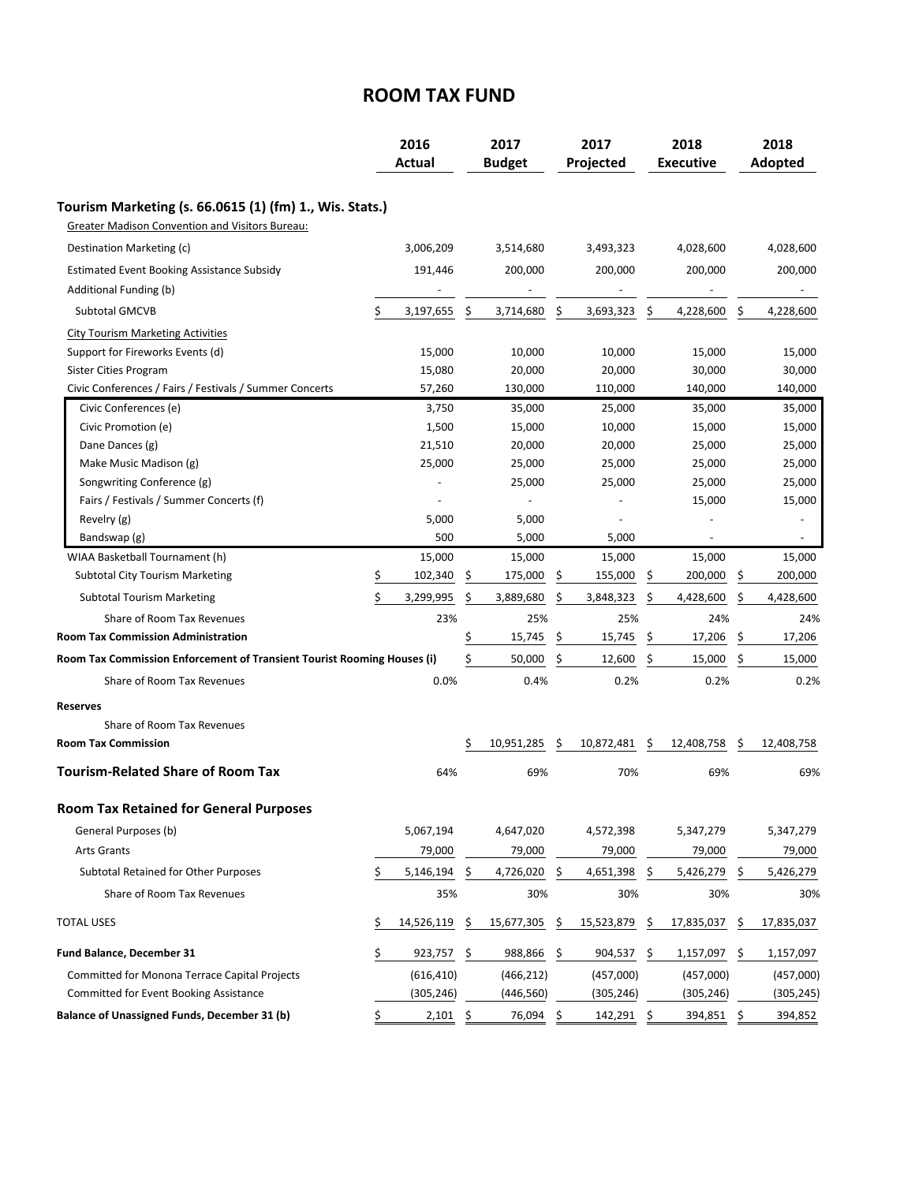## **ROOM TAX FUND**

|                                                                              |    | 2016<br><b>Actual</b> |    | 2017<br><b>Budget</b> |    | 2017<br>Projected | 2018<br><b>Executive</b> |            |     | 2018<br>Adopted |  |
|------------------------------------------------------------------------------|----|-----------------------|----|-----------------------|----|-------------------|--------------------------|------------|-----|-----------------|--|
| Tourism Marketing (s. 66.0615 (1) (fm) 1., Wis. Stats.)                      |    |                       |    |                       |    |                   |                          |            |     |                 |  |
| Greater Madison Convention and Visitors Bureau:                              |    |                       |    |                       |    |                   |                          |            |     |                 |  |
| Destination Marketing (c)                                                    |    | 3,006,209             |    | 3,514,680             |    | 3,493,323         |                          | 4,028,600  |     | 4,028,600       |  |
| <b>Estimated Event Booking Assistance Subsidy</b>                            |    | 191,446               |    | 200,000               |    | 200,000           |                          | 200,000    |     | 200,000         |  |
| Additional Funding (b)                                                       |    |                       |    |                       |    |                   |                          |            |     |                 |  |
| <b>Subtotal GMCVB</b>                                                        |    | 3,197,655             | \$ | 3,714,680             | \$ | 3,693,323         | \$,                      | 4,228,600  | \$  | 4,228,600       |  |
|                                                                              |    |                       |    |                       |    |                   |                          |            |     |                 |  |
| <b>City Tourism Marketing Activities</b><br>Support for Fireworks Events (d) |    | 15,000                |    | 10,000                |    | 10,000            |                          | 15,000     |     | 15,000          |  |
| Sister Cities Program                                                        |    | 15,080                |    | 20,000                |    | 20,000            |                          | 30,000     |     | 30,000          |  |
| Civic Conferences / Fairs / Festivals / Summer Concerts                      |    | 57,260                |    | 130,000               |    | 110,000           |                          | 140,000    |     | 140,000         |  |
| Civic Conferences (e)                                                        |    | 3,750                 |    | 35,000                |    | 25,000            |                          | 35,000     |     | 35,000          |  |
| Civic Promotion (e)                                                          |    | 1,500                 |    | 15,000                |    | 10,000            |                          | 15,000     |     | 15,000          |  |
| Dane Dances (g)                                                              |    | 21,510                |    | 20,000                |    | 20,000            |                          | 25,000     |     | 25,000          |  |
| Make Music Madison (g)                                                       |    | 25,000                |    | 25,000                |    | 25,000            |                          | 25,000     |     | 25,000          |  |
| Songwriting Conference (g)                                                   |    |                       |    | 25,000                |    | 25,000            |                          | 25,000     |     | 25,000          |  |
| Fairs / Festivals / Summer Concerts (f)                                      |    |                       |    |                       |    |                   |                          | 15,000     |     | 15,000          |  |
| Revelry (g)                                                                  |    | 5,000                 |    | 5,000                 |    |                   |                          |            |     |                 |  |
| Bandswap (g)                                                                 |    | 500                   |    | 5,000                 |    | 5.000             |                          |            |     |                 |  |
| WIAA Basketball Tournament (h)                                               |    | 15,000                |    | 15,000                |    | 15,000            |                          | 15,000     |     | 15,000          |  |
| <b>Subtotal City Tourism Marketing</b>                                       | Ş  | 102,340               | Ş  | 175,000               | Ş  | 155,000           | Ş                        | 200,000    | Ş   | 200,000         |  |
| <b>Subtotal Tourism Marketing</b>                                            | \$ | 3,299,995             | \$ | 3,889,680             | \$ | 3,848,323         | \$                       | 4,428,600  | \$  | 4,428,600       |  |
| Share of Room Tax Revenues                                                   |    | 23%                   |    | 25%                   |    | 25%               |                          | 24%        |     | 24%             |  |
| <b>Room Tax Commission Administration</b>                                    |    |                       | \$ | 15,745                | \$ | 15,745            | \$                       | 17,206     | \$  | 17,206          |  |
| Room Tax Commission Enforcement of Transient Tourist Rooming Houses (i)      |    |                       | Ś  | 50,000                | \$ | 12,600            | \$                       | 15,000     | \$  | 15,000          |  |
| Share of Room Tax Revenues                                                   |    | 0.0%                  |    | 0.4%                  |    | 0.2%              |                          | 0.2%       |     | 0.2%            |  |
| Reserves                                                                     |    |                       |    |                       |    |                   |                          |            |     |                 |  |
| Share of Room Tax Revenues                                                   |    |                       |    |                       |    |                   |                          |            |     |                 |  |
| <b>Room Tax Commission</b>                                                   |    |                       | \$ | 10,951,285            | -Ş | 10,872,481        | -Ş                       | 12,408,758 | Ş   | 12,408,758      |  |
| <b>Tourism-Related Share of Room Tax</b>                                     |    | 64%                   |    | 69%                   |    | 70%               |                          | 69%        |     | 69%             |  |
| <b>Room Tax Retained for General Purposes</b>                                |    |                       |    |                       |    |                   |                          |            |     |                 |  |
| General Purposes (b)                                                         |    | 5,067,194             |    | 4,647,020             |    | 4,572,398         |                          | 5,347,279  |     | 5,347,279       |  |
| <b>Arts Grants</b>                                                           |    | 79,000                |    | 79,000                |    | 79,000            |                          | 79,000     |     | 79,000          |  |
| Subtotal Retained for Other Purposes                                         | \$ | 5,146,194             | Ŝ. | 4,726,020             | \$ | 4,651,398         | Ŝ.                       | 5,426,279  | \$  | 5,426,279       |  |
| Share of Room Tax Revenues                                                   |    | 35%                   |    | 30%                   |    | 30%               |                          | 30%        |     | 30%             |  |
| <b>TOTAL USES</b>                                                            | \$ | 14,526,119            | \$ | 15,677,305            | \$ | 15,523,879        | -Ş                       | 17,835,037 | \$  | 17,835,037      |  |
| Fund Balance, December 31                                                    | \$ | 923,757               | \$ | 988,866               | \$ | 904,537           | -\$                      | 1,157,097  | \$. | 1,157,097       |  |
|                                                                              |    |                       |    |                       |    |                   |                          |            |     |                 |  |
| <b>Committed for Monona Terrace Capital Projects</b>                         |    | (616, 410)            |    | (466, 212)            |    | (457,000)         |                          | (457,000)  |     | (457,000)       |  |
| <b>Committed for Event Booking Assistance</b>                                |    | (305, 246)            |    | (446, 560)            |    | (305, 246)        |                          | (305, 246) |     | (305, 245)      |  |
| Balance of Unassigned Funds, December 31 (b)                                 | \$ | $2,101$ \$            |    | 76,094 \$             |    | 142,291 \$        |                          | 394,851 \$ |     | 394,852         |  |